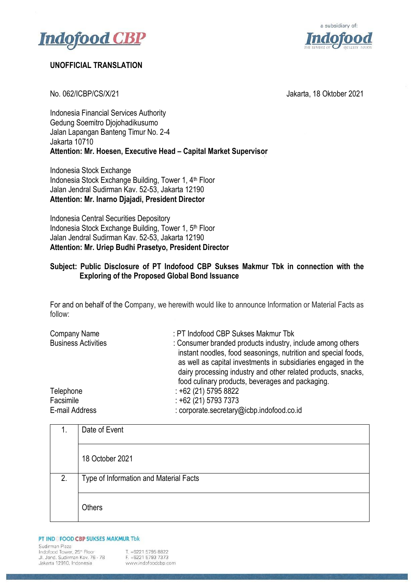



## **UNOFFICIAL TRANSLATION**

No. 062/ICBP/CS/X/21 Jakarta, 18 Oktober 2021

Indonesia Financial Services Authority Gedung Soemitro Djojohadikusumo Jalan Lapangan Banteng Timur No. 2-4 Jakarta 10710 **Attention: Mr. Hoesen, Executive Head – Capital Market Supervisor**

Indonesia Stock Exchange Indonesia Stock Exchange Building, Tower 1, 4<sup>th</sup> Floor Jalan Jendral Sudirman Kav. 52-53, Jakarta 12190 **Attention: Mr. Inarno Djajadi, President Director**

Indonesia Central Securities Depository Indonesia Stock Exchange Building, Tower 1, 5<sup>th</sup> Floor Jalan Jendral Sudirman Kav. 52-53, Jakarta 12190 **Attention: Mr. Uriep Budhi Prasetyo, President Director**

## **Subject: Public Disclosure of PT Indofood CBP Sukses Makmur Tbk in connection with the Exploring of the Proposed Global Bond Issuance**

For and on behalf of the Company, we herewith would like to announce Information or Material Facts as follow:

| Company Name               | : PT Indofood CBP Sukses Makmur Tbk                                                                                                                                                                                                                                                                                |
|----------------------------|--------------------------------------------------------------------------------------------------------------------------------------------------------------------------------------------------------------------------------------------------------------------------------------------------------------------|
| <b>Business Activities</b> | : Consumer branded products industry, include among others<br>instant noodles, food seasonings, nutrition and special foods,<br>as well as capital investments in subsidiaries engaged in the<br>dairy processing industry and other related products, snacks,<br>food culinary products, beverages and packaging. |
| Telephone                  | $: +62(21)57958822$                                                                                                                                                                                                                                                                                                |
| Facsimile                  | $: +62(21)57937373$                                                                                                                                                                                                                                                                                                |
| E-mail Address             | : corporate.secretary@icbp.indofood.co.id                                                                                                                                                                                                                                                                          |

| 1. | Date of Event                          |
|----|----------------------------------------|
|    | 18 October 2021                        |
| 2. | Type of Information and Material Facts |
|    | Others                                 |

PT IND FOOD CBP SUKSES MAKMUR Tbk

Sudirman Plaza Indofood Tower, 25th Floor Jl. Jend. Sudirman Kav. 76 - 78 Jakarta 12910, Indonesia

T. +6221 5795 8822 F. +6221 5793 7373 www.indofoodcbp.com